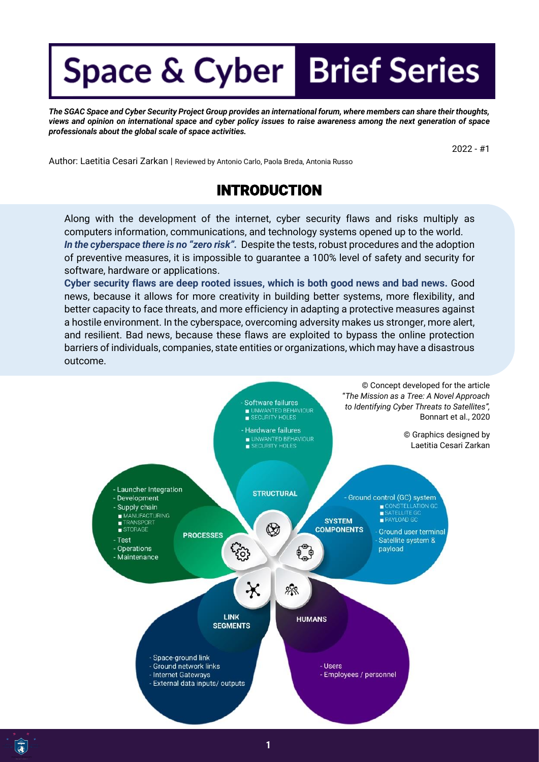## **Space & Cyber Brief Series**

*The SGAC Space and Cyber Security Project Group provides an international forum, where members can share their thoughts, views and opinion on international space and cyber policy issues to raise awareness among the next generation of space professionals about the global scale of space activities.*

2022 - #1

Author: Laetitia Cesari Zarkan | Reviewed by Antonio Carlo, Paola Breda, Antonia Russo

## INTRODUCTION

Along with the development of the internet, cyber security flaws and risks multiply as computers information, communications, and technology systems opened up to the world. In the cyberspace there is no "zero risk". Despite the tests, robust procedures and the adoption of preventive measures, it is impossible to guarantee a 100% level of safety and security for software, hardware or applications.

**Cyber security flaws are deep rooted issues, which is both good news and bad news.** Good news, because it allows for more creativity in building better systems, more flexibility, and better capacity to face threats, and more efficiency in adapting a protective measures against a hostile environment. In the cyberspace, overcoming adversity makes us stronger, more alert, and resilient. Bad news, because these flaws are exploited to bypass the online protection barriers of individuals, companies, state entities or organizations, which may have a disastrous outcome.